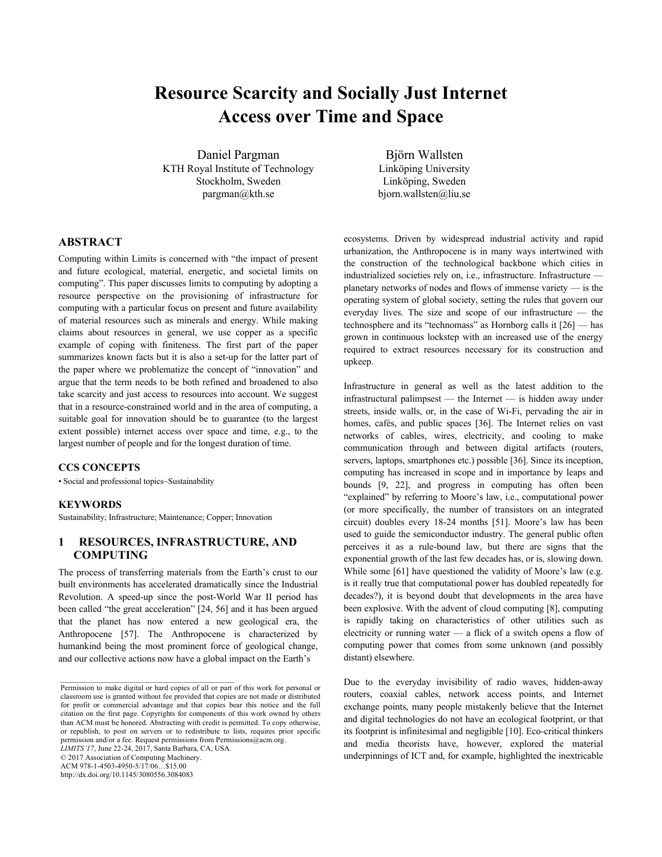# **Resource Scarcity and Socially Just Internet Access over Time and Space**

Daniel Pargman KTH Royal Institute of Technology Stockholm, Sweden pargman@kth.se

Björn Wallsten Linköping University Linköping, Sweden bjorn.wallsten@liu.se

### **ABSTRACT**

Computing within Limits is concerned with "the impact of present and future ecological, material, energetic, and societal limits on computing". This paper discusses limits to computing by adopting a resource perspective on the provisioning of infrastructure for computing with a particular focus on present and future availability of material resources such as minerals and energy. While making claims about resources in general, we use copper as a specific example of coping with finiteness. The first part of the paper summarizes known facts but it is also a set-up for the latter part of the paper where we problematize the concept of "innovation" and argue that the term needs to be both refined and broadened to also take scarcity and just access to resources into account. We suggest that in a resource-constrained world and in the area of computing, a suitable goal for innovation should be to guarantee (to the largest extent possible) internet access over space and time, e.g., to the largest number of people and for the longest duration of time.

#### **CCS CONCEPTS**

• Social and professional topics~Sustainability

#### **KEYWORDS**

Sustainability; Infrastructure; Maintenance; Copper; Innovation

## **1 RESOURCES, INFRASTRUCTURE, AND COMPUTING**

The process of transferring materials from the Earth's crust to our built environments has accelerated dramatically since the Industrial Revolution. A speed-up since the post-World War II period has been called "the great acceleration" [24, 56] and it has been argued that the planet has now entered a new geological era, the Anthropocene [57]. The Anthropocene is characterized by humankind being the most prominent force of geological change, and our collective actions now have a global impact on the Earth's

© 2017 Association of Computing Machinery.

\_\_\_\_\_\_\_\_\_\_\_\_\_\_\_\_\_\_\_\_\_\_\_\_\_\_\_\_\_\_\_\_\_\_\_\_\_\_\_\_\_\_\_\_\_\_

ACM 978-1-4503-4950-5/17/06…\$15.00

http://dx.doi.org/10.1145/3080556.3084083

ecosystems. Driven by widespread industrial activity and rapid urbanization, the Anthropocene is in many ways intertwined with the construction of the technological backbone which cities in industrialized societies rely on, i.e., infrastructure. Infrastructure planetary networks of nodes and flows of immense variety — is the operating system of global society, setting the rules that govern our everyday lives. The size and scope of our infrastructure — the technosphere and its "technomass" as Hornborg calls it [26] — has grown in continuous lockstep with an increased use of the energy required to extract resources necessary for its construction and upkeep.

Infrastructure in general as well as the latest addition to the infrastructural palimpsest — the Internet — is hidden away under streets, inside walls, or, in the case of Wi-Fi, pervading the air in homes, cafés, and public spaces [36]. The Internet relies on vast networks of cables, wires, electricity, and cooling to make communication through and between digital artifacts (routers, servers, laptops, smartphones etc.) possible [36]. Since its inception, computing has increased in scope and in importance by leaps and bounds [9, 22], and progress in computing has often been "explained" by referring to Moore's law, i.e., computational power (or more specifically, the number of transistors on an integrated circuit) doubles every 18-24 months [51]. Moore's law has been used to guide the semiconductor industry. The general public often perceives it as a rule-bound law, but there are signs that the exponential growth of the last few decades has, or is, slowing down. While some [61] have questioned the validity of Moore's law (e.g. is it really true that computational power has doubled repeatedly for decades?), it is beyond doubt that developments in the area have been explosive. With the advent of cloud computing [8], computing is rapidly taking on characteristics of other utilities such as electricity or running water — a flick of a switch opens a flow of computing power that comes from some unknown (and possibly distant) elsewhere.

Due to the everyday invisibility of radio waves, hidden-away routers, coaxial cables, network access points, and Internet exchange points, many people mistakenly believe that the Internet and digital technologies do not have an ecological footprint, or that its footprint is infinitesimal and negligible [10]. Eco-critical thinkers and media theorists have, however, explored the material underpinnings of ICT and, for example, highlighted the inextricable

Permission to make digital or hard copies of all or part of this work for personal or classroom use is granted without fee provided that copies are not made or distributed for profit or commercial advantage and that copies bear this notice and the full citation on the first page. Copyrights for components of this work owned by others than ACM must be honored. Abstracting with credit is permitted. To copy otherwise, or republish, to post on servers or to redistribute to lists, requires prior specific permission and/or a fee. Request permissions from Permissions@acm.org. *LIMITS'17*, June 22-24, 2017, Santa Barbara, CA, USA*.*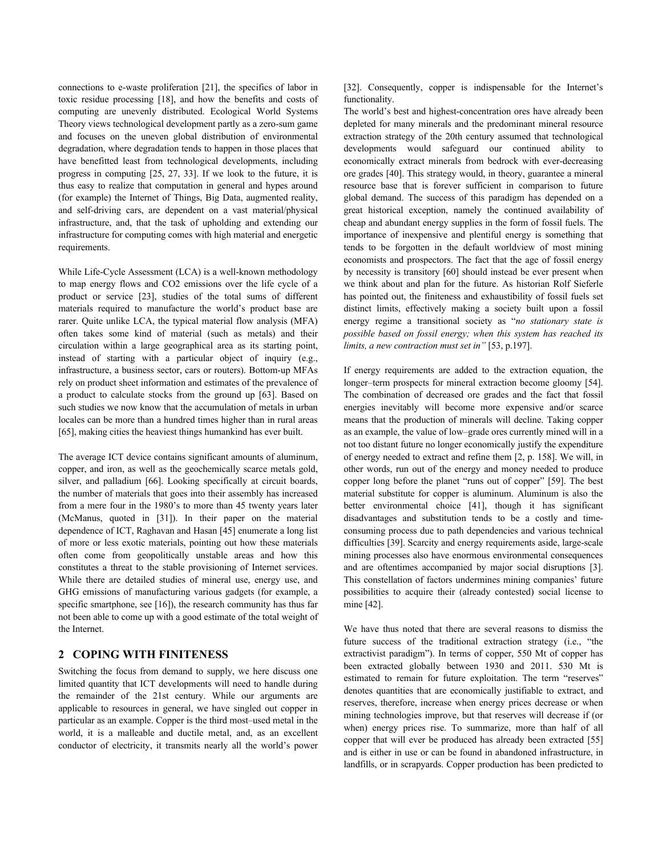connections to e-waste proliferation [21], the specifics of labor in toxic residue processing [18], and how the benefits and costs of computing are unevenly distributed. Ecological World Systems Theory views technological development partly as a zero-sum game and focuses on the uneven global distribution of environmental degradation, where degradation tends to happen in those places that have benefitted least from technological developments, including progress in computing [25, 27, 33]. If we look to the future, it is thus easy to realize that computation in general and hypes around (for example) the Internet of Things, Big Data, augmented reality, and self-driving cars, are dependent on a vast material/physical infrastructure, and, that the task of upholding and extending our infrastructure for computing comes with high material and energetic requirements.

While Life-Cycle Assessment (LCA) is a well-known methodology to map energy flows and CO2 emissions over the life cycle of a product or service [23], studies of the total sums of different materials required to manufacture the world's product base are rarer. Quite unlike LCA, the typical material flow analysis (MFA) often takes some kind of material (such as metals) and their circulation within a large geographical area as its starting point, instead of starting with a particular object of inquiry (e.g., infrastructure, a business sector, cars or routers). Bottom-up MFAs rely on product sheet information and estimates of the prevalence of a product to calculate stocks from the ground up [63]. Based on such studies we now know that the accumulation of metals in urban locales can be more than a hundred times higher than in rural areas [65], making cities the heaviest things humankind has ever built.

The average ICT device contains significant amounts of aluminum, copper, and iron, as well as the geochemically scarce metals gold, silver, and palladium [66]. Looking specifically at circuit boards, the number of materials that goes into their assembly has increased from a mere four in the 1980's to more than 45 twenty years later (McManus, quoted in [31]). In their paper on the material dependence of ICT, Raghavan and Hasan [45] enumerate a long list of more or less exotic materials, pointing out how these materials often come from geopolitically unstable areas and how this constitutes a threat to the stable provisioning of Internet services. While there are detailed studies of mineral use, energy use, and GHG emissions of manufacturing various gadgets (for example, a specific smartphone, see [16]), the research community has thus far not been able to come up with a good estimate of the total weight of the Internet.

# **2 COPING WITH FINITENESS**

Switching the focus from demand to supply, we here discuss one limited quantity that ICT developments will need to handle during the remainder of the 21st century. While our arguments are applicable to resources in general, we have singled out copper in particular as an example. Copper is the third most–used metal in the world, it is a malleable and ductile metal, and, as an excellent conductor of electricity, it transmits nearly all the world's power

[32]. Consequently, copper is indispensable for the Internet's functionality.

The world's best and highest-concentration ores have already been depleted for many minerals and the predominant mineral resource extraction strategy of the 20th century assumed that technological developments would safeguard our continued ability to economically extract minerals from bedrock with ever-decreasing ore grades [40]. This strategy would, in theory, guarantee a mineral resource base that is forever sufficient in comparison to future global demand. The success of this paradigm has depended on a great historical exception, namely the continued availability of cheap and abundant energy supplies in the form of fossil fuels. The importance of inexpensive and plentiful energy is something that tends to be forgotten in the default worldview of most mining economists and prospectors. The fact that the age of fossil energy by necessity is transitory [60] should instead be ever present when we think about and plan for the future. As historian Rolf Sieferle has pointed out, the finiteness and exhaustibility of fossil fuels set distinct limits, effectively making a society built upon a fossil energy regime a transitional society as "*no stationary state is possible based on fossil energy; when this system has reached its limits, a new contraction must set in"* [53, p.197].

If energy requirements are added to the extraction equation, the longer–term prospects for mineral extraction become gloomy [54]. The combination of decreased ore grades and the fact that fossil energies inevitably will become more expensive and/or scarce means that the production of minerals will decline. Taking copper as an example, the value of low–grade ores currently mined will in a not too distant future no longer economically justify the expenditure of energy needed to extract and refine them [2, p. 158]. We will, in other words, run out of the energy and money needed to produce copper long before the planet "runs out of copper" [59]. The best material substitute for copper is aluminum. Aluminum is also the better environmental choice [41], though it has significant disadvantages and substitution tends to be a costly and timeconsuming process due to path dependencies and various technical difficulties [39]. Scarcity and energy requirements aside, large-scale mining processes also have enormous environmental consequences and are oftentimes accompanied by major social disruptions [3]. This constellation of factors undermines mining companies' future possibilities to acquire their (already contested) social license to mine [42].

We have thus noted that there are several reasons to dismiss the future success of the traditional extraction strategy (i.e., "the extractivist paradigm"). In terms of copper, 550 Mt of copper has been extracted globally between 1930 and 2011. 530 Mt is estimated to remain for future exploitation. The term "reserves" denotes quantities that are economically justifiable to extract, and reserves, therefore, increase when energy prices decrease or when mining technologies improve, but that reserves will decrease if (or when) energy prices rise. To summarize, more than half of all copper that will ever be produced has already been extracted [55] and is either in use or can be found in abandoned infrastructure, in landfills, or in scrapyards. Copper production has been predicted to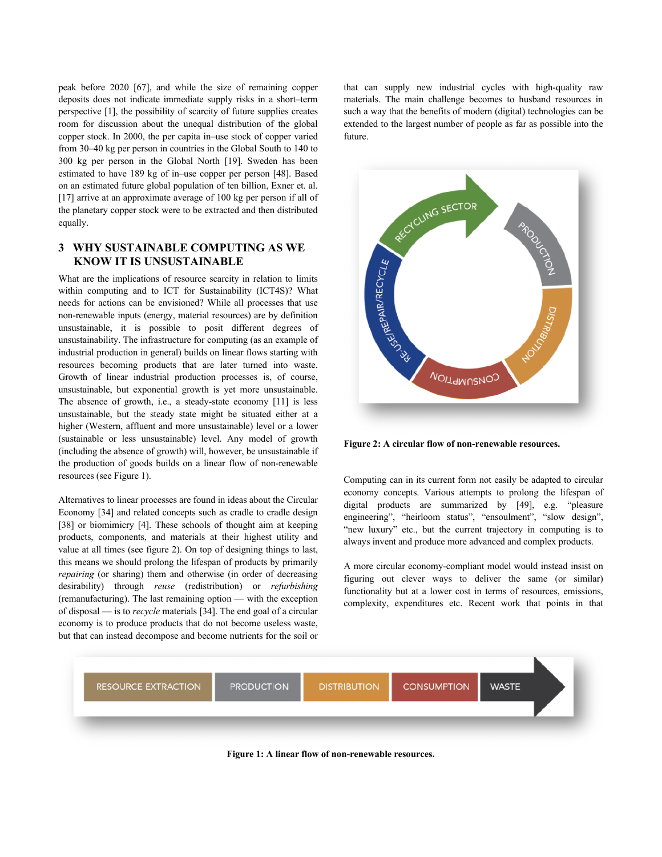peak before 2020 [67], and while the size of remaining copper deposits does not indicate immediate supply risks in a short–term perspective [1], the possibility of scarcity of future supplies creates room for discussion about the unequal distribution of the global copper stock. In 2000, the per capita in–use stock of copper varied from 30–40 kg per person in countries in the Global South to 140 to 300 kg per person in the Global North [19]. Sweden has been estimated to have 189 kg of in–use copper per person [48]. Based on an estimated future global population of ten billion, Exner et. al. [17] arrive at an approximate average of 100 kg per person if all of the planetary copper stock were to be extracted and then distributed equally.

# **3 WHY SUSTAINABLE COMPUTING AS WE KNOW IT IS UNSUSTAINABLE**

What are the implications of resource scarcity in relation to limits within computing and to ICT for Sustainability (ICT4S)? What needs for actions can be envisioned? While all processes that use non-renewable inputs (energy, material resources) are by definition unsustainable, it is possible to posit different degrees of unsustainability. The infrastructure for computing (as an example of industrial production in general) builds on linear flows starting with resources becoming products that are later turned into waste. Growth of linear industrial production processes is, of course, unsustainable, but exponential growth is yet more unsustainable. The absence of growth, i.e., a steady-state economy [11] is less unsustainable, but the steady state might be situated either at a higher (Western, affluent and more unsustainable) level or a lower (sustainable or less unsustainable) level. Any model of growth (including the absence of growth) will, however, be unsustainable if the production of goods builds on a linear flow of non-renewable resources (see Figure 1).

Alternatives to linear processes are found in ideas about the Circular Economy [34] and related concepts such as cradle to cradle design [38] or biomimicry [4]. These schools of thought aim at keeping products, components, and materials at their highest utility and value at all times (see figure 2). On top of designing things to last, this means we should prolong the lifespan of products by primarily *repairing* (or sharing) them and otherwise (in order of decreasing desirability) through *reuse* (redistribution) or *refurbishing* (remanufacturing). The last remaining option — with the exception of disposal — is to *recycle* materials [34]. The end goal of a circular economy is to produce products that do not become useless waste, but that can instead decompose and become nutrients for the soil or

that can supply new industrial cycles with high-quality raw materials. The main challenge becomes to husband resources in such a way that the benefits of modern (digital) technologies can be extended to the largest number of people as far as possible into the future.



**Figure 2: A circular flow of non-renewable resources.**

Computing can in its current form not easily be adapted to circular economy concepts. Various attempts to prolong the lifespan of digital products are summarized by [49], e.g. "pleasure engineering", "heirloom status", "ensoulment", "slow design", "new luxury" etc., but the current trajectory in computing is to always invent and produce more advanced and complex products.

A more circular economy-compliant model would instead insist on figuring out clever ways to deliver the same (or similar) functionality but at a lower cost in terms of resources, emissions, complexity, expenditures etc. Recent work that points in that



**Figure 1: A linear flow of non-renewable resources.**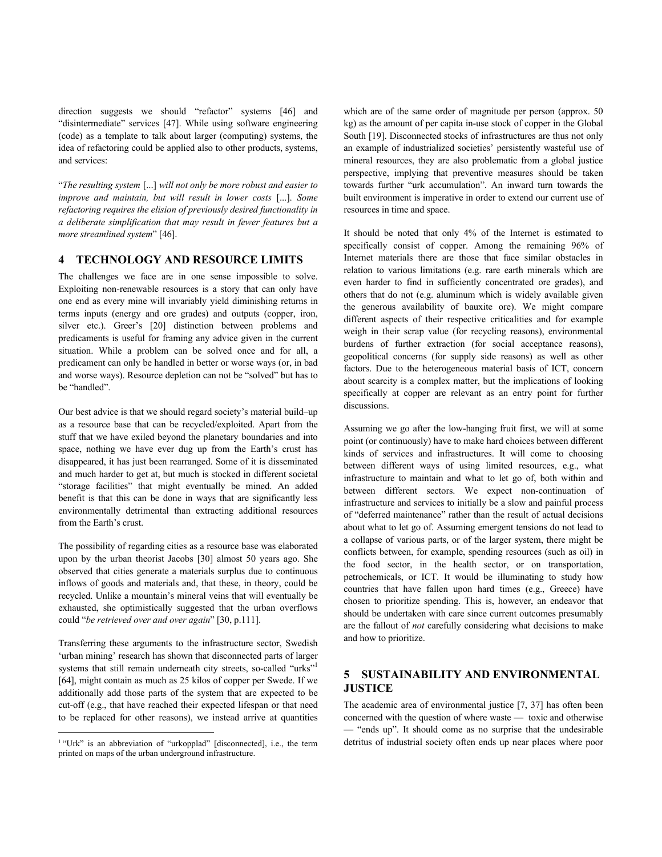direction suggests we should "refactor" systems [46] and "disintermediate" services [47]. While using software engineering (code) as a template to talk about larger (computing) systems, the idea of refactoring could be applied also to other products, systems, and services:

"*The resulting system* [...] *will not only be more robust and easier to improve and maintain, but will result in lower costs* [...]. *Some refactoring requires the elision of previously desired functionality in a deliberate simplification that may result in fewer features but a more streamlined system*" [46].

### **4 TECHNOLOGY AND RESOURCE LIMITS**

The challenges we face are in one sense impossible to solve. Exploiting non-renewable resources is a story that can only have one end as every mine will invariably yield diminishing returns in terms inputs (energy and ore grades) and outputs (copper, iron, silver etc.). Greer's [20] distinction between problems and predicaments is useful for framing any advice given in the current situation. While a problem can be solved once and for all, a predicament can only be handled in better or worse ways (or, in bad and worse ways). Resource depletion can not be "solved" but has to be "handled".

Our best advice is that we should regard society's material build–up as a resource base that can be recycled/exploited. Apart from the stuff that we have exiled beyond the planetary boundaries and into space, nothing we have ever dug up from the Earth's crust has disappeared, it has just been rearranged. Some of it is disseminated and much harder to get at, but much is stocked in different societal "storage facilities" that might eventually be mined. An added benefit is that this can be done in ways that are significantly less environmentally detrimental than extracting additional resources from the Earth's crust.

The possibility of regarding cities as a resource base was elaborated upon by the urban theorist Jacobs [30] almost 50 years ago. She observed that cities generate a materials surplus due to continuous inflows of goods and materials and, that these, in theory, could be recycled. Unlike a mountain's mineral veins that will eventually be exhausted, she optimistically suggested that the urban overflows could "*be retrieved over and over again*" [30, p.111].

Transferring these arguments to the infrastructure sector, Swedish 'urban mining' research has shown that disconnected parts of larger systems that still remain underneath city streets, so-called "urks"<sup>1</sup> [64], might contain as much as 25 kilos of copper per Swede. If we additionally add those parts of the system that are expected to be cut-off (e.g., that have reached their expected lifespan or that need to be replaced for other reasons), we instead arrive at quantities which are of the same order of magnitude per person (approx. 50 kg) as the amount of per capita in-use stock of copper in the Global South [19]. Disconnected stocks of infrastructures are thus not only an example of industrialized societies' persistently wasteful use of mineral resources, they are also problematic from a global justice perspective, implying that preventive measures should be taken towards further "urk accumulation". An inward turn towards the built environment is imperative in order to extend our current use of resources in time and space.

It should be noted that only 4% of the Internet is estimated to specifically consist of copper. Among the remaining 96% of Internet materials there are those that face similar obstacles in relation to various limitations (e.g. rare earth minerals which are even harder to find in sufficiently concentrated ore grades), and others that do not (e.g. aluminum which is widely available given the generous availability of bauxite ore). We might compare different aspects of their respective criticalities and for example weigh in their scrap value (for recycling reasons), environmental burdens of further extraction (for social acceptance reasons), geopolitical concerns (for supply side reasons) as well as other factors. Due to the heterogeneous material basis of ICT, concern about scarcity is a complex matter, but the implications of looking specifically at copper are relevant as an entry point for further discussions.

Assuming we go after the low-hanging fruit first, we will at some point (or continuously) have to make hard choices between different kinds of services and infrastructures. It will come to choosing between different ways of using limited resources, e.g., what infrastructure to maintain and what to let go of, both within and between different sectors. We expect non-continuation of infrastructure and services to initially be a slow and painful process of "deferred maintenance" rather than the result of actual decisions about what to let go of. Assuming emergent tensions do not lead to a collapse of various parts, or of the larger system, there might be conflicts between, for example, spending resources (such as oil) in the food sector, in the health sector, or on transportation, petrochemicals, or ICT. It would be illuminating to study how countries that have fallen upon hard times (e.g., Greece) have chosen to prioritize spending. This is, however, an endeavor that should be undertaken with care since current outcomes presumably are the fallout of *not* carefully considering what decisions to make and how to prioritize.

# **5 SUSTAINABILITY AND ENVIRONMENTAL JUSTICE**

The academic area of environmental justice [7, 37] has often been concerned with the question of where waste — toxic and otherwise — "ends up". It should come as no surprise that the undesirable detritus of industrial society often ends up near places where poor

<sup>&</sup>lt;sup>1</sup> "Urk" is an abbreviation of "urkopplad" [disconnected], i.e., the term printed on maps of the urban underground infrastructure.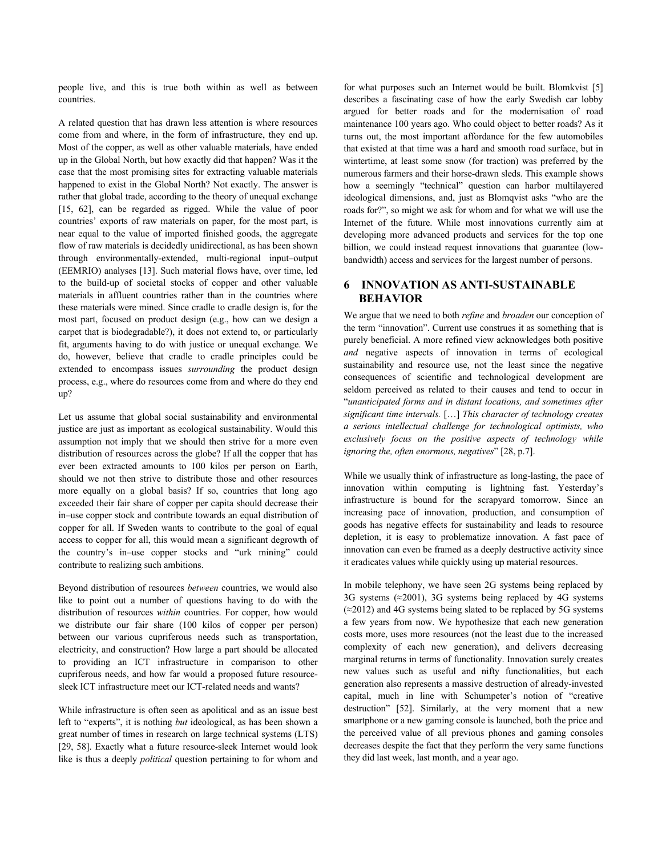people live, and this is true both within as well as between countries.

A related question that has drawn less attention is where resources come from and where, in the form of infrastructure, they end up. Most of the copper, as well as other valuable materials, have ended up in the Global North, but how exactly did that happen? Was it the case that the most promising sites for extracting valuable materials happened to exist in the Global North? Not exactly. The answer is rather that global trade, according to the theory of unequal exchange [15, 62], can be regarded as rigged. While the value of poor countries' exports of raw materials on paper, for the most part, is near equal to the value of imported finished goods, the aggregate flow of raw materials is decidedly unidirectional, as has been shown through environmentally-extended, multi-regional input–output (EEMRIO) analyses [13]. Such material flows have, over time, led to the build-up of societal stocks of copper and other valuable materials in affluent countries rather than in the countries where these materials were mined. Since cradle to cradle design is, for the most part, focused on product design (e.g., how can we design a carpet that is biodegradable?), it does not extend to, or particularly fit, arguments having to do with justice or unequal exchange. We do, however, believe that cradle to cradle principles could be extended to encompass issues *surrounding* the product design process, e.g., where do resources come from and where do they end up?

Let us assume that global social sustainability and environmental justice are just as important as ecological sustainability. Would this assumption not imply that we should then strive for a more even distribution of resources across the globe? If all the copper that has ever been extracted amounts to 100 kilos per person on Earth, should we not then strive to distribute those and other resources more equally on a global basis? If so, countries that long ago exceeded their fair share of copper per capita should decrease their in–use copper stock and contribute towards an equal distribution of copper for all. If Sweden wants to contribute to the goal of equal access to copper for all, this would mean a significant degrowth of the country's in–use copper stocks and "urk mining" could contribute to realizing such ambitions.

Beyond distribution of resources *between* countries, we would also like to point out a number of questions having to do with the distribution of resources *within* countries. For copper, how would we distribute our fair share (100 kilos of copper per person) between our various cupriferous needs such as transportation, electricity, and construction? How large a part should be allocated to providing an ICT infrastructure in comparison to other cupriferous needs, and how far would a proposed future resourcesleek ICT infrastructure meet our ICT-related needs and wants?

While infrastructure is often seen as apolitical and as an issue best left to "experts", it is nothing *but* ideological, as has been shown a great number of times in research on large technical systems (LTS) [29, 58]. Exactly what a future resource-sleek Internet would look like is thus a deeply *political* question pertaining to for whom and

for what purposes such an Internet would be built. Blomkvist [5] describes a fascinating case of how the early Swedish car lobby argued for better roads and for the modernisation of road maintenance 100 years ago. Who could object to better roads? As it turns out, the most important affordance for the few automobiles that existed at that time was a hard and smooth road surface, but in wintertime, at least some snow (for traction) was preferred by the numerous farmers and their horse-drawn sleds. This example shows how a seemingly "technical" question can harbor multilayered ideological dimensions, and, just as Blomqvist asks "who are the roads for?", so might we ask for whom and for what we will use the Internet of the future. While most innovations currently aim at developing more advanced products and services for the top one billion, we could instead request innovations that guarantee (lowbandwidth) access and services for the largest number of persons.

# **6 INNOVATION AS ANTI-SUSTAINABLE BEHAVIOR**

We argue that we need to both *refine* and *broaden* our conception of the term "innovation". Current use construes it as something that is purely beneficial. A more refined view acknowledges both positive *and* negative aspects of innovation in terms of ecological sustainability and resource use, not the least since the negative consequences of scientific and technological development are seldom perceived as related to their causes and tend to occur in "*unanticipated forms and in distant locations, and sometimes after significant time intervals.* […] *This character of technology creates a serious intellectual challenge for technological optimists, who exclusively focus on the positive aspects of technology while ignoring the, often enormous, negatives*" [28, p.7].

While we usually think of infrastructure as long-lasting, the pace of innovation within computing is lightning fast. Yesterday's infrastructure is bound for the scrapyard tomorrow. Since an increasing pace of innovation, production, and consumption of goods has negative effects for sustainability and leads to resource depletion, it is easy to problematize innovation. A fast pace of innovation can even be framed as a deeply destructive activity since it eradicates values while quickly using up material resources.

In mobile telephony, we have seen 2G systems being replaced by 3G systems ( $\approx$ 2001), 3G systems being replaced by 4G systems  $(\approx 2012)$  and 4G systems being slated to be replaced by 5G systems a few years from now. We hypothesize that each new generation costs more, uses more resources (not the least due to the increased complexity of each new generation), and delivers decreasing marginal returns in terms of functionality. Innovation surely creates new values such as useful and nifty functionalities, but each generation also represents a massive destruction of already-invested capital, much in line with Schumpeter's notion of "creative destruction" [52]. Similarly, at the very moment that a new smartphone or a new gaming console is launched, both the price and the perceived value of all previous phones and gaming consoles decreases despite the fact that they perform the very same functions they did last week, last month, and a year ago.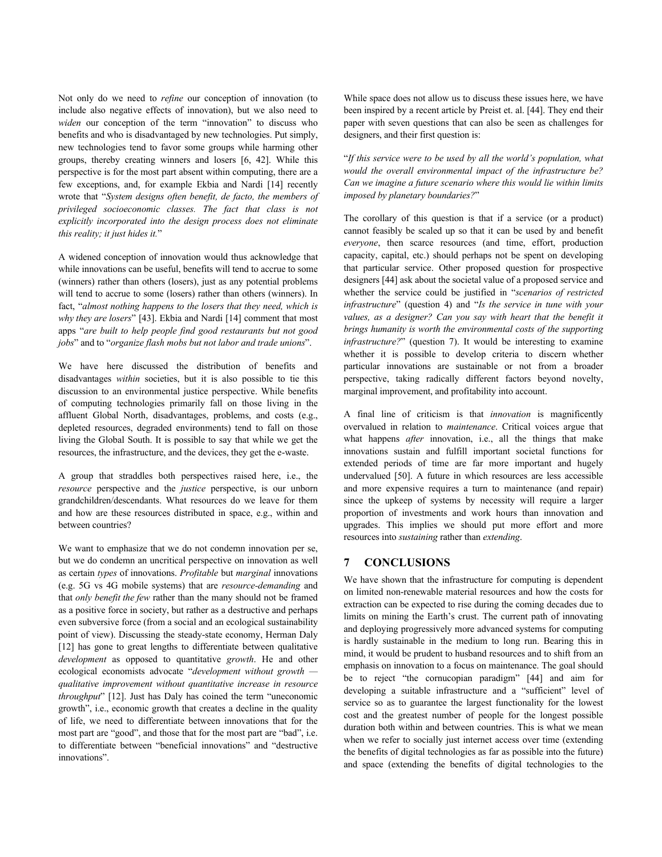Not only do we need to *refine* our conception of innovation (to include also negative effects of innovation), but we also need to *widen* our conception of the term "innovation" to discuss who benefits and who is disadvantaged by new technologies. Put simply, new technologies tend to favor some groups while harming other groups, thereby creating winners and losers [6, 42]. While this perspective is for the most part absent within computing, there are a few exceptions, and, for example Ekbia and Nardi [14] recently wrote that "*System designs often benefit, de facto, the members of privileged socioeconomic classes. The fact that class is not explicitly incorporated into the design process does not eliminate this reality; it just hides it.*"

A widened conception of innovation would thus acknowledge that while innovations can be useful, benefits will tend to accrue to some (winners) rather than others (losers), just as any potential problems will tend to accrue to some (losers) rather than others (winners). In fact, "*almost nothing happens to the losers that they need, which is why they are losers*" [43]. Ekbia and Nardi [14] comment that most apps "*are built to help people find good restaurants but not good jobs*" and to "*organize flash mobs but not labor and trade unions*".

We have here discussed the distribution of benefits and disadvantages *within* societies, but it is also possible to tie this discussion to an environmental justice perspective. While benefits of computing technologies primarily fall on those living in the affluent Global North, disadvantages, problems, and costs (e.g., depleted resources, degraded environments) tend to fall on those living the Global South. It is possible to say that while we get the resources, the infrastructure, and the devices, they get the e-waste.

A group that straddles both perspectives raised here, i.e., the *resource* perspective and the *justice* perspective, is our unborn grandchildren/descendants. What resources do we leave for them and how are these resources distributed in space, e.g., within and between countries?

We want to emphasize that we do not condemn innovation per se, but we do condemn an uncritical perspective on innovation as well as certain *types* of innovations. *Profitable* but *marginal* innovations (e.g. 5G vs 4G mobile systems) that are *resource-demanding* and that *only benefit the few* rather than the many should not be framed as a positive force in society, but rather as a destructive and perhaps even subversive force (from a social and an ecological sustainability point of view). Discussing the steady-state economy, Herman Daly [12] has gone to great lengths to differentiate between qualitative *development* as opposed to quantitative *growth*. He and other ecological economists advocate "*development without growth qualitative improvement without quantitative increase in resource throughput*" [12]. Just has Daly has coined the term "uneconomic growth", i.e., economic growth that creates a decline in the quality of life, we need to differentiate between innovations that for the most part are "good", and those that for the most part are "bad", i.e. to differentiate between "beneficial innovations" and "destructive innovations".

While space does not allow us to discuss these issues here, we have been inspired by a recent article by Preist et. al. [44]. They end their paper with seven questions that can also be seen as challenges for designers, and their first question is:

"*If this service were to be used by all the world's population, what would the overall environmental impact of the infrastructure be? Can we imagine a future scenario where this would lie within limits imposed by planetary boundaries?*"

The corollary of this question is that if a service (or a product) cannot feasibly be scaled up so that it can be used by and benefit *everyone*, then scarce resources (and time, effort, production capacity, capital, etc.) should perhaps not be spent on developing that particular service. Other proposed question for prospective designers [44] ask about the societal value of a proposed service and whether the service could be justified in "*scenarios of restricted infrastructure*" (question 4) and "*Is the service in tune with your values, as a designer? Can you say with heart that the benefit it brings humanity is worth the environmental costs of the supporting infrastructure?*" (question 7). It would be interesting to examine whether it is possible to develop criteria to discern whether particular innovations are sustainable or not from a broader perspective, taking radically different factors beyond novelty, marginal improvement, and profitability into account.

A final line of criticism is that *innovation* is magnificently overvalued in relation to *maintenance*. Critical voices argue that what happens *after* innovation, i.e., all the things that make innovations sustain and fulfill important societal functions for extended periods of time are far more important and hugely undervalued [50]. A future in which resources are less accessible and more expensive requires a turn to maintenance (and repair) since the upkeep of systems by necessity will require a larger proportion of investments and work hours than innovation and upgrades. This implies we should put more effort and more resources into *sustaining* rather than *extending*.

# **7 CONCLUSIONS**

We have shown that the infrastructure for computing is dependent on limited non-renewable material resources and how the costs for extraction can be expected to rise during the coming decades due to limits on mining the Earth's crust. The current path of innovating and deploying progressively more advanced systems for computing is hardly sustainable in the medium to long run. Bearing this in mind, it would be prudent to husband resources and to shift from an emphasis on innovation to a focus on maintenance. The goal should be to reject "the cornucopian paradigm" [44] and aim for developing a suitable infrastructure and a "sufficient" level of service so as to guarantee the largest functionality for the lowest cost and the greatest number of people for the longest possible duration both within and between countries. This is what we mean when we refer to socially just internet access over time (extending the benefits of digital technologies as far as possible into the future) and space (extending the benefits of digital technologies to the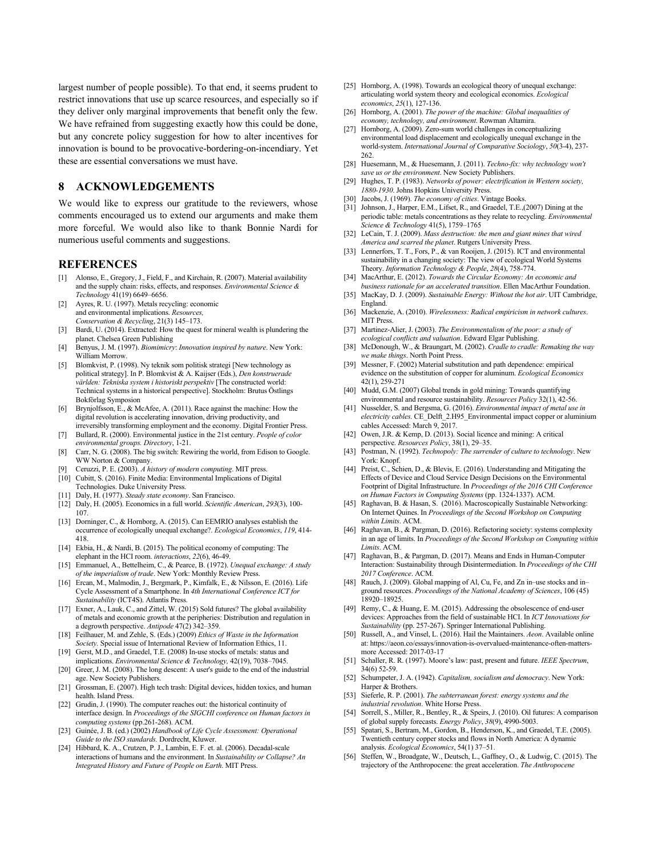largest number of people possible). To that end, it seems prudent to restrict innovations that use up scarce resources, and especially so if they deliver only marginal improvements that benefit only the few. We have refrained from suggesting exactly how this could be done, but any concrete policy suggestion for how to alter incentives for innovation is bound to be provocative-bordering-on-incendiary. Yet these are essential conversations we must have.

# **8 ACKNOWLEDGEMENTS**

We would like to express our gratitude to the reviewers, whose comments encouraged us to extend our arguments and make them more forceful. We would also like to thank Bonnie Nardi for numerious useful comments and suggestions.

#### **REFERENCES**

- [1] Alonso, E., Gregory, J., Field, F., and Kirchain, R. (2007). Material availability and the supply chain: risks, effects, and responses. *Environmental Science & Technology* 41(19) 6649–6656.
- [2] Ayres, R. U. (1997). Metals recycling: economic and environmental implications. *Resources, Conservation & Recycling*, 21(3) 145–173.
- [3] Bardi, U. (2014). Extracted: How the quest for mineral wealth is plundering the planet. Chelsea Green Publishing
- [4] Benyus, J. M. (1997). *Biomimicry*: *Innovation inspired by nature*. New York: William Morrow.
- [5] Blomkvist, P. (1998). Ny teknik som politisk strategi [New technology as political strategy]. In P. Blomkvist & A. Kaijser (Eds.), *Den konstruerade världen: Tekniska system i historiskt perspektiv* [The constructed world: Technical systems in a historical perspective]. Stockholm: Brutus Östlings Bokförlag Symposion
- Brynjolfsson, E., & McAfee, A. (2011). Race against the machine: How the digital revolution is accelerating innovation, driving productivity, and irreversibly transforming employment and the economy. Digital Frontier Press.
- [7] Bullard, R. (2000). Environmental justice in the 21st century. *People of color environmental groups. Directory*, 1-21.
- [8] Carr, N. G. (2008). The big switch: Rewiring the world, from Edison to Google. WW Norton & Company.
- [9] Ceruzzi, P. E. (2003). *A history of modern computing*. MIT press.
- [10] Cubitt, S. (2016). Finite Media: Environmental Implications of Digital Technologies. Duke University Press.
- [11] Daly, H. (1977). *Steady state economy*. San Francisco. [12] Daly, H. (2005). Economics in a full world. *Scientific American*, *293*(3), 100-
- 107. [13] Dorninger, C., & Hornborg, A. (2015). Can EEMRIO analyses establish the
- occurrence of ecologically unequal exchange?. *Ecological Economics*, *119*, 414- 418.
- [14] Ekbia, H., & Nardi, B. (2015). The political economy of computing: The elephant in the HCI room. *interactions*, *22*(6), 46-49.
- [15] Emmanuel, A., Bettelheim, C., & Pearce, B. (1972). *Unequal exchange: A study of the imperialism of trade*. New York: Monthly Review Press.
- [16] Ercan, M., Malmodin, J., Bergmark, P., Kimfalk, E., & Nilsson, E. (2016). Life Cycle Assessment of a Smartphone. In *4th International Conference ICT for Sustainability* (ICT4S). Atlantis Press.
- [17] Exner, A., Lauk, C., and Zittel, W. (2015) Sold futures? The global availability of metals and economic growth at the peripheries: Distribution and regulation in a degrowth perspective. *Antipode* 47(2) 342–359.
- [18] Feilhauer, M. and Zehle, S. (Eds.) (2009) *Ethics of Waste in the Information Society.* Special issue of International Review of Information Ethics, 11.
- [19] Gerst, M.D., and Graedel, T.E. (2008) In-use stocks of metals: status and implications. *Environmental Science & Technology,* 42(19), 7038–7045.
- [20] Greer, J. M. (2008). The long descent: A user's guide to the end of the industrial age. New Society Publishers.
- [21] Grossman, E. (2007). High tech trash: Digital devices, hidden toxics, and human health. Island Press.
- [22] Grudin, J. (1990). The computer reaches out: the historical continuity of interface design. In *Proceedings of the SIGCHI conference on Human factors in computing systems* (pp.261-268). ACM.
- [23] Guinée, J. B. (ed.) (2002) *Handbook of Life Cycle Assessment: Operational Guide to the ISO standards.* Dordrecht, Kluwer.
- [24] Hibbard, K. A., Crutzen, P. J., Lambin, E. F. et. al. (2006). Decadal-scale interactions of humans and the environment. In *Sustainability or Collapse? An Integrated History and Future of People on Earth*. MIT Press.
- [25] Hornborg, A. (1998). Towards an ecological theory of unequal exchange: articulating world system theory and ecological economics. *Ecological economics*, *25*(1), 127-136.
- [26] Hornborg, A. (2001). *The power of the machine: Global inequalities of economy, technology, and environment*. Rowman Altamira.
- [27] Hornborg, A. (2009). Zero-sum world challenges in conceptualizing environmental load displacement and ecologically unequal exchange in the world-system. *International Journal of Comparative Sociology*, *50*(3-4), 237- 262.
- [28] Huesemann, M., & Huesemann, J. (2011). *Techno-fix: why technology won't save us or the environment*. New Society Publishers.
- [29] Hughes, T. P. (1983). *Networks of power: electrification in Western society, 1880-1930*. Johns Hopkins University Press.
- [30] Jacobs, J. (1969). *The economy of cities*. Vintage Books.
- [31] Johnson, J., Harper, E.M., Lifset, R., and Graedel, T.E.,(2007) Dining at the periodic table: metals concentrations as they relate to recycling. *Environmental Science & Technology* 41(5), 1759–1765
- [32] LeCain, T. J. (2009). *Mass destruction: the men and giant mines that wired America and scarred the planet*. Rutgers University Press.
- [33] Lennerfors, T. T., Fors, P., & van Rooijen, J. (2015). ICT and environmental sustainability in a changing society: The view of ecological World Systems Theory. *Information Technology & People*, *28*(4), 758-774.
- [34] MacArthur, E. (2012). *Towards the Circular Economy: An economic and business rationale for an accelerated transition*. Ellen MacArthur Foundation.
- [35] MacKay, D. J. (2009). *Sustainable Energy: Without the hot air*. UIT Cambridge, England.
- [36] Mackenzie, A. (2010). *Wirelessness: Radical empiricism in network cultures*. MIT Press.
- [37] Martinez-Alier, J. (2003). *The Environmentalism of the poor: a study of ecological conflicts and valuation*. Edward Elgar Publishing.
- [38] McDonough, W., & Braungart, M. (2002). *Cradle to cradle: Remaking the way we make things*. North Point Press.
- [39] Messner, F. (2002) Material substitution and path dependence: empirical evidence on the substitution of copper for aluminum. *Ecological Economics* 42(1), 259-271
- [40] Mudd, G.M. (2007) Global trends in gold mining: Towards quantifying environmental and resource sustainability. *Resources Policy* 32(1), 42-56.
- [41] Nusselder, S. and Bergsma, G. (2016). *Environmental impact of metal use in electricity cables.* CE\_Delft\_2.H95\_Environmental impact copper or aluminium cables Accessed: March 9, 2017.
- [42] Owen, J.R. & Kemp, D. (2013). Social licence and mining: A critical perspective. *Resources Policy*, 38(1), 29–35.
- [43] Postman, N. (1992). *Technopoly: The surrender of culture to technology*. New York: Knopf.
- [44] Preist, C., Schien, D., & Blevis, E. (2016). Understanding and Mitigating the Effects of Device and Cloud Service Design Decisions on the Environmental Footprint of Digital Infrastructure. In *Proceedings of the 2016 CHI Conference on Human Factors in Computing Systems* (pp. 1324-1337). ACM.
- [45] Raghavan, B. & Hasan, S. (2016). Macroscopically Sustainable Networking: On Internet Quines. In *Proceedings of the Second Workshop on Computing within Limits*. ACM.
- [46] Raghavan, B., & Pargman, D. (2016). Refactoring society: systems complexity in an age of limits. In *Proceedings of the Second Workshop on Computing within Limits*. ACM.
- [47] Raghavan, B., & Pargman, D. (2017). Means and Ends in Human-Computer Interaction: Sustainability through Disintermediation. In *Proceedings of the CHI 2017 Conference*. ACM.
- [48] Rauch, J. (2009). Global mapping of Al, Cu, Fe, and Zn in–use stocks and in– ground resources. *Proceedings of the National Academy of Sciences*, 106 (45) 18920–18925.
- [49] Remy, C., & Huang, E. M. (2015). Addressing the obsolescence of end-user devices: Approaches from the field of sustainable HCI. In *ICT Innovations for Sustainability* (pp. 257-267). Springer International Publishing.
- [50] Russell, A., and Vinsel, L. (2016). Hail the Maintainers. *Aeon*. Available online at: https://aeon.co/essays/innovation-is-overvalued-maintenance-often-mattersmore Accessed: 2017-03-17
- [51] Schaller, R. R. (1997). Moore's law: past, present and future. *IEEE Spectrum*, 34(6) 52-59.
- [52] Schumpeter, J. A. (1942). *Capitalism, socialism and democracy*. New York: Harper & Brothers.
- [53] Sieferle, R. P. (2001). *The subterranean forest: energy systems and the industrial revolution*. White Horse Press.
- [54] Sorrell, S., Miller, R., Bentley, R., & Speirs, J. (2010). Oil futures: A comparison of global supply forecasts. *Energy Policy*, *38*(9), 4990-5003.
- [55] Spatari, S., Bertram, M., Gordon, B., Henderson, K., and Graedel, T.E. (2005). Twentieth century copper stocks and flows in North America: A dynamic analysis. *Ecological Economics*, 54(1) 37–51.
- [56] Steffen, W., Broadgate, W., Deutsch, L., Gaffney, O., & Ludwig, C. (2015). The trajectory of the Anthropocene: the great acceleration. *The Anthropocene*